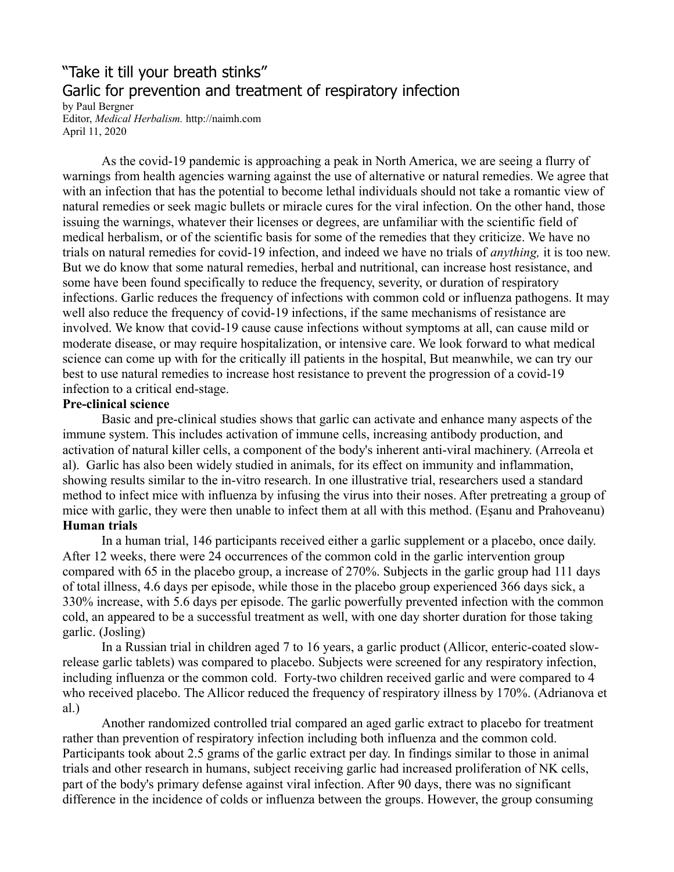## "Take it till your breath stinks" Garlic for prevention and treatment of respiratory infection by Paul Bergner

Editor, *Medical Herbalism.* http://naimh.com April 11, 2020

As the covid-19 pandemic is approaching a peak in North America, we are seeing a flurry of warnings from health agencies warning against the use of alternative or natural remedies. We agree that with an infection that has the potential to become lethal individuals should not take a romantic view of natural remedies or seek magic bullets or miracle cures for the viral infection. On the other hand, those issuing the warnings, whatever their licenses or degrees, are unfamiliar with the scientific field of medical herbalism, or of the scientific basis for some of the remedies that they criticize. We have no trials on natural remedies for covid-19 infection, and indeed we have no trials of *anything,* it is too new. But we do know that some natural remedies, herbal and nutritional, can increase host resistance, and some have been found specifically to reduce the frequency, severity, or duration of respiratory infections. Garlic reduces the frequency of infections with common cold or influenza pathogens. It may well also reduce the frequency of covid-19 infections, if the same mechanisms of resistance are involved. We know that covid-19 cause cause infections without symptoms at all, can cause mild or moderate disease, or may require hospitalization, or intensive care. We look forward to what medical science can come up with for the critically ill patients in the hospital, But meanwhile, we can try our best to use natural remedies to increase host resistance to prevent the progression of a covid-19 infection to a critical end-stage.

## **Pre-clinical science**

Basic and pre-clinical studies shows that garlic can activate and enhance many aspects of the immune system. This includes activation of immune cells, increasing antibody production, and activation of natural killer cells, a component of the body's inherent anti-viral machinery. (Arreola et al). Garlic has also been widely studied in animals, for its effect on immunity and inflammation, showing results similar to the in-vitro research. In one illustrative trial, researchers used a standard method to infect mice with influenza by infusing the virus into their noses. After pretreating a group of mice with garlic, they were then unable to infect them at all with this method. (Eşanu and Prahoveanu) **Human trials**

In a human trial, 146 participants received either a garlic supplement or a placebo, once daily. After 12 weeks, there were 24 occurrences of the common cold in the garlic intervention group compared with 65 in the placebo group, a increase of 270%. Subjects in the garlic group had 111 days of total illness, 4.6 days per episode, while those in the placebo group experienced 366 days sick, a 330% increase, with 5.6 days per episode. The garlic powerfully prevented infection with the common cold, an appeared to be a successful treatment as well, with one day shorter duration for those taking garlic. (Josling)

In a Russian trial in children aged 7 to 16 years, a garlic product (Allicor, enteric-coated slowrelease garlic tablets) was compared to placebo. Subjects were screened for any respiratory infection, including influenza or the common cold. Forty-two children received garlic and were compared to 4 who received placebo. The Allicor reduced the frequency of respiratory illness by 170%. (Adrianova et al.)

Another randomized controlled trial compared an aged garlic extract to placebo for treatment rather than prevention of respiratory infection including both influenza and the common cold. Participants took about 2.5 grams of the garlic extract per day. In findings similar to those in animal trials and other research in humans, subject receiving garlic had increased proliferation of NK cells, part of the body's primary defense against viral infection. After 90 days, there was no significant difference in the incidence of colds or influenza between the groups. However, the group consuming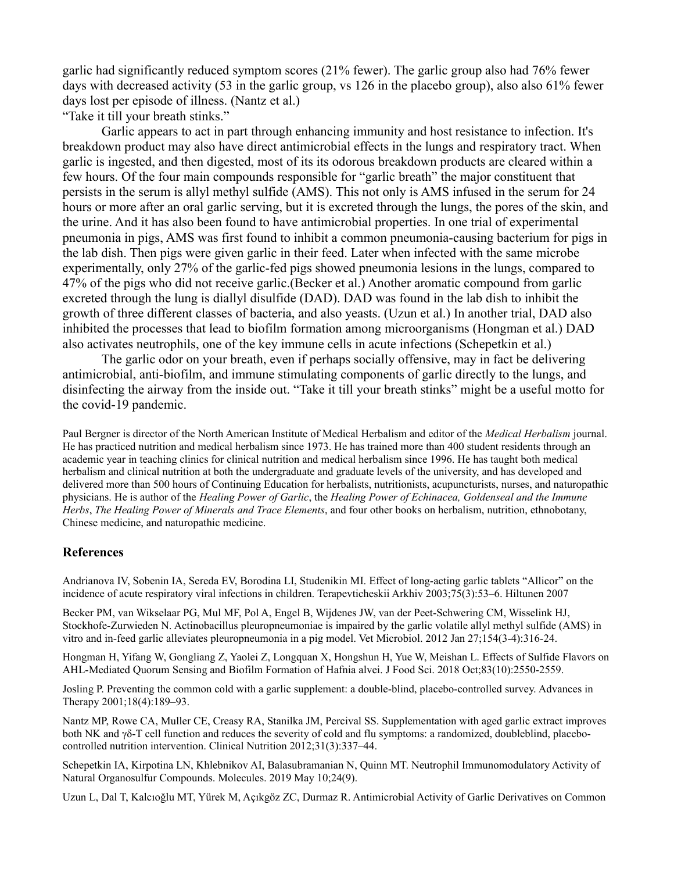garlic had significantly reduced symptom scores (21% fewer). The garlic group also had 76% fewer days with decreased activity (53 in the garlic group, vs 126 in the placebo group), also also 61% fewer days lost per episode of illness. (Nantz et al.)

"Take it till your breath stinks."

Garlic appears to act in part through enhancing immunity and host resistance to infection. It's breakdown product may also have direct antimicrobial effects in the lungs and respiratory tract. When garlic is ingested, and then digested, most of its its odorous breakdown products are cleared within a few hours. Of the four main compounds responsible for "garlic breath" the major constituent that persists in the serum is allyl methyl sulfide (AMS). This not only is AMS infused in the serum for 24 hours or more after an oral garlic serving, but it is excreted through the lungs, the pores of the skin, and the urine. And it has also been found to have antimicrobial properties. In one trial of experimental pneumonia in pigs, AMS was first found to inhibit a common pneumonia-causing bacterium for pigs in the lab dish. Then pigs were given garlic in their feed. Later when infected with the same microbe experimentally, only 27% of the garlic-fed pigs showed pneumonia lesions in the lungs, compared to 47% of the pigs who did not receive garlic.(Becker et al.) Another aromatic compound from garlic excreted through the lung is diallyl disulfide (DAD). DAD was found in the lab dish to inhibit the growth of three different classes of bacteria, and also yeasts. (Uzun et al.) In another trial, DAD also inhibited the processes that lead to biofilm formation among microorganisms (Hongman et al.) DAD also activates neutrophils, one of the key immune cells in acute infections (Schepetkin et al.)

The garlic odor on your breath, even if perhaps socially offensive, may in fact be delivering antimicrobial, anti-biofilm, and immune stimulating components of garlic directly to the lungs, and disinfecting the airway from the inside out. "Take it till your breath stinks" might be a useful motto for the covid-19 pandemic.

Paul Bergner is director of the North American Institute of Medical Herbalism and editor of the *Medical Herbalism* journal. He has practiced nutrition and medical herbalism since 1973. He has trained more than 400 student residents through an academic year in teaching clinics for clinical nutrition and medical herbalism since 1996. He has taught both medical herbalism and clinical nutrition at both the undergraduate and graduate levels of the university, and has developed and delivered more than 500 hours of Continuing Education for herbalists, nutritionists, acupuncturists, nurses, and naturopathic physicians. He is author of the *Healing Power of Garlic*, the *Healing Power of Echinacea, Goldenseal and the Immune Herbs*, *The Healing Power of Minerals and Trace Elements*, and four other books on herbalism, nutrition, ethnobotany, Chinese medicine, and naturopathic medicine.

## **References**

Andrianova IV, Sobenin IA, Sereda EV, Borodina LI, Studenikin MI. Effect of long-acting garlic tablets "Allicor" on the incidence of acute respiratory viral infections in children. Terapevticheskii Arkhiv 2003;75(3):53–6. Hiltunen 2007

Becker PM, van Wikselaar PG, Mul MF, Pol A, Engel B, Wijdenes JW, van der Peet-Schwering CM, Wisselink HJ, Stockhofe-Zurwieden N. Actinobacillus pleuropneumoniae is impaired by the garlic volatile allyl methyl sulfide (AMS) in vitro and in-feed garlic alleviates pleuropneumonia in a pig model. Vet Microbiol. 2012 Jan 27;154(3-4):316-24.

Hongman H, Yifang W, Gongliang Z, Yaolei Z, Longquan X, Hongshun H, Yue W, Meishan L. Effects of Sulfide Flavors on AHL-Mediated Quorum Sensing and Biofilm Formation of Hafnia alvei. J Food Sci. 2018 Oct;83(10):2550-2559.

Josling P. Preventing the common cold with a garlic supplement: a double-blind, placebo-controlled survey. Advances in Therapy 2001;18(4):189–93.

Nantz MP, Rowe CA, Muller CE, Creasy RA, Stanilka JM, Percival SS. Supplementation with aged garlic extract improves both NK and γδ-T cell function and reduces the severity of cold and flu symptoms: a randomized, doubleblind, placebocontrolled nutrition intervention. Clinical Nutrition 2012;31(3):337–44.

Schepetkin IA, Kirpotina LN, Khlebnikov AI, Balasubramanian N, Quinn MT. Neutrophil Immunomodulatory Activity of Natural Organosulfur Compounds. Molecules. 2019 May 10;24(9).

Uzun L, Dal T, Kalcıoğlu MT, Yürek M, Açıkgöz ZC, Durmaz R. Antimicrobial Activity of Garlic Derivatives on Common